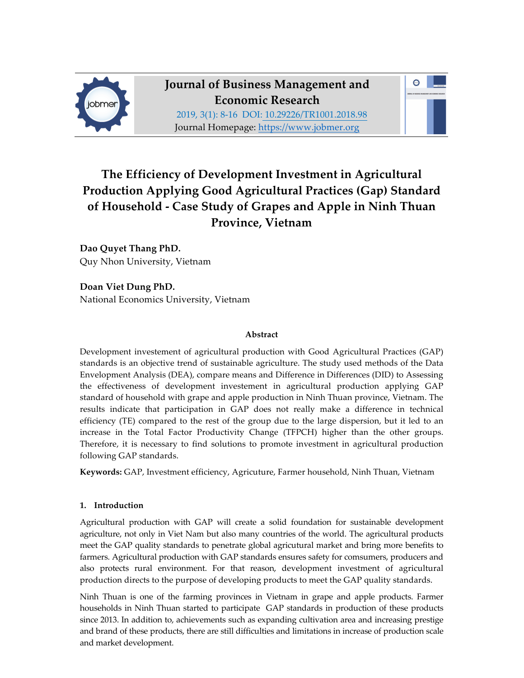



# **The Efficiency of Development Investment in Agricultural Production Applying Good Agricultural Practices (Gap) Standard of Household - Case Study of Grapes and Apple in Ninh Thuan Province, Vietnam**

**Dao Quyet Thang PhD.** Quy Nhon University, Vietnam

**Doan Viet Dung PhD.** National Economics University, Vietnam

## **Abstract**

Development investement of agricultural production with Good Agricultural Practices (GAP) standards is an objective trend of sustainable agriculture. The study used methods of the Data Envelopment Analysis (DEA), compare means and Difference in Differences (DID) to Assessing the effectiveness of development investement in agricultural production applying GAP standard of household with grape and apple production in Ninh Thuan province, Vietnam. The results indicate that participation in GAP does not really make a difference in technical efficiency (TE) compared to the rest of the group due to the large dispersion, but it led to an increase in the Total Factor Productivity Change (TFPCH) higher than the other groups. Therefore, it is necessary to find solutions to promote investment in agricultural production following GAP standards.

**Keywords:** GAP, Investment efficiency, Agricuture, Farmer household, Ninh Thuan, Vietnam

## **1. Introduction**

Agricultural production with GAP will create a solid foundation for sustainable development agriculture, not only in Viet Nam but also many countries of the world. The agricultural products meet the GAP quality standards to penetrate global agricutural market and bring more benefits to farmers. Agricultural production with GAP standards ensures safety for comsumers, producers and also protects rural environment. For that reason, development investment of agricultural production directs to the purpose of developing products to meet the GAP quality standards.

Ninh Thuan is one of the farming provinces in Vietnam in grape and apple products. Farmer households in Ninh Thuan started to participate GAP standards in production of these products since 2013. In addition to, achievements such as expanding cultivation area and increasing prestige and brand of these products, there are still difficulties and limitations in increase of production scale and market development.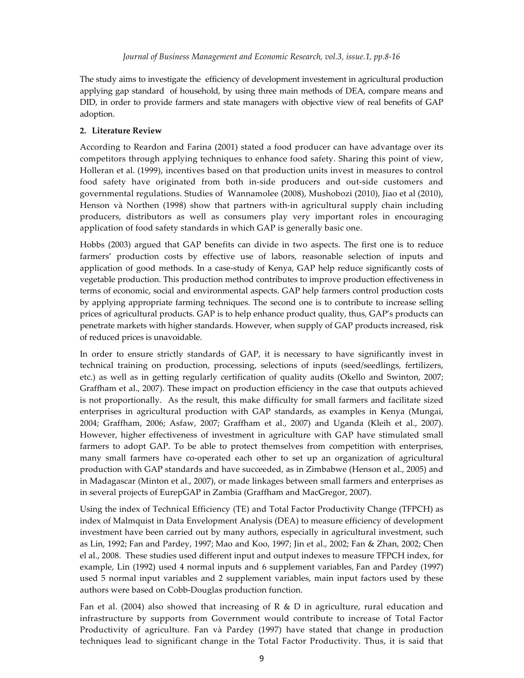The study aims to investigate the efficiency of development investement in agricultural production applying gap standard of household, by using three main methods of DEA, compare means and DID, in order to provide farmers and state managers with objective view of real benefits of GAP adoption.

## **2. Literature Review**

According to Reardon and Farina (2001) stated a food producer can have advantage over its competitors through applying techniques to enhance food safety. Sharing this point of view, Holleran et al. (1999), incentives based on that production units invest in measures to control food safety have originated from both in-side producers and out-side customers and governmental regulations. Studies of Wannamolee (2008), Mushobozi (2010), Jiao et al (2010), Henson và Northen (1998) show that partners with-in agricultural supply chain including producers, distributors as well as consumers play very important roles in encouraging application of food safety standards in which GAP is generally basic one.

Hobbs (2003) argued that GAP benefits can divide in two aspects. The first one is to reduce farmers' production costs by effective use of labors, reasonable selection of inputs and application of good methods. In a case-study of Kenya, GAP help reduce significantly costs of vegetable production. This production method contributes to improve production effectiveness in terms of economic, social and environmental aspects. GAP help farmers control production costs by applying appropriate farming techniques. The second one is to contribute to increase selling prices of agricultural products. GAP is to help enhance product quality, thus, GAP's products can penetrate markets with higher standards. However, when supply of GAP products increased, risk of reduced prices is unavoidable.

In order to ensure strictly standards of GAP, it is necessary to have significantly invest in technical training on production, processing, selections of inputs (seed/seedlings, fertilizers, etc.) as well as in getting regularly certification of quality audits (Okello and Swinton, 2007; Graffham et al., 2007). These impact on production efficiency in the case that outputs achieved is not proportionally. As the result, this make difficulty for small farmers and facilitate sized enterprises in agricultural production with GAP standards, as examples in Kenya (Mungai, 2004; Graffham, 2006; Asfaw, 2007; Graffham et al., 2007) and Uganda (Kleih et al., 2007). However, higher effectiveness of investment in agriculture with GAP have stimulated small farmers to adopt GAP. To be able to protect themselves from competition with enterprises, many small farmers have co-operated each other to set up an organization of agricultural production with GAP standards and have succeeded, as in Zimbabwe (Henson et al., 2005) and in Madagascar (Minton et al., 2007), or made linkages between small farmers and enterprises as in several projects of EurepGAP in Zambia (Graffham and MacGregor, 2007).

Using the index of Technical Efficiency (TE) and Total Factor Productivity Change (TFPCH) as index of Malmquist in Data Envelopment Analysis (DEA) to measure efficiency of development investment have been carried out by many authors, especially in agricultural investment, such as Lin, 1992; Fan and Pardey, 1997; Mao and Koo, 1997; Jin et al., 2002; Fan & Zhan, 2002; Chen el al., 2008. These studies used different input and output indexes to measure TFPCH index, for example, Lin (1992) used 4 normal inputs and 6 supplement variables, Fan and Pardey (1997) used 5 normal input variables and 2 supplement variables, main input factors used by these authors were based on Cobb-Douglas production function.

Fan et al. (2004) also showed that increasing of R & D in agriculture, rural education and infrastructure by supports from Government would contribute to increase of Total Factor Productivity of agriculture. Fan và Pardey (1997) have stated that change in production techniques lead to significant change in the Total Factor Productivity. Thus, it is said that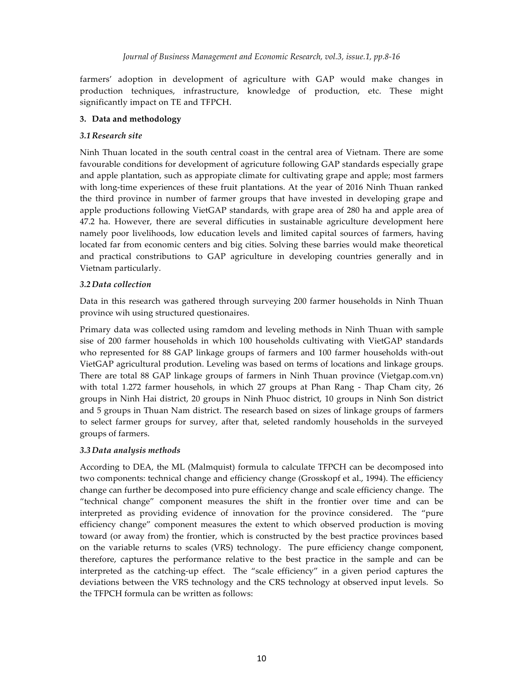farmers' adoption in development of agriculture with GAP would make changes in production techniques, infrastructure, knowledge of production, etc. These might significantly impact on TE and TFPCH.

## **3. Data and methodology**

## *3.1 Research site*

Ninh Thuan located in the south central coast in the central area of Vietnam. There are some favourable conditions for development of agricuture following GAP standards especially grape and apple plantation, such as appropiate climate for cultivating grape and apple; most farmers with long-time experiences of these fruit plantations. At the year of 2016 Ninh Thuan ranked the third province in number of farmer groups that have invested in developing grape and apple productions following VietGAP standards, with grape area of 280 ha and apple area of 47.2 ha. However, there are several difficuties in sustainable agriculture development here namely poor livelihoods, low education levels and limited capital sources of farmers, having located far from economic centers and big cities. Solving these barries would make theoretical and practical constributions to GAP agriculture in developing countries generally and in Vietnam particularly.

## *3.2 Data collection*

Data in this research was gathered through surveying 200 farmer households in Ninh Thuan province wih using structured questionaires.

Primary data was collected using ramdom and leveling methods in Ninh Thuan with sample sise of 200 farmer households in which 100 households cultivating with VietGAP standards who represented for 88 GAP linkage groups of farmers and 100 farmer households with-out VietGAP agricultural prodution. Leveling was based on terms of locations and linkage groups. There are total 88 GAP linkage groups of farmers in Ninh Thuan province (Vietgap.com.vn) with total 1.272 farmer househols, in which 27 groups at Phan Rang - Thap Cham city, 26 groups in Ninh Hai district, 20 groups in Ninh Phuoc district, 10 groups in Ninh Son district and 5 groups in Thuan Nam district. The research based on sizes of linkage groups of farmers to select farmer groups for survey, after that, seleted randomly households in the surveyed groups of farmers.

## *3.3 Data analysis methods*

According to DEA, the ML (Malmquist) formula to calculate TFPCH can be decomposed into two components: technical change and efficiency change (Grosskopf et al., 1994). The efficiency change can further be decomposed into pure efficiency change and scale efficiency change. The "technical change" component measures the shift in the frontier over time and can be interpreted as providing evidence of innovation for the province considered. The "pure efficiency change" component measures the extent to which observed production is moving toward (or away from) the frontier, which is constructed by the best practice provinces based on the variable returns to scales (VRS) technology. The pure efficiency change component, therefore, captures the performance relative to the best practice in the sample and can be interpreted as the catching-up effect. The "scale efficiency" in a given period captures the deviations between the VRS technology and the CRS technology at observed input levels. So the TFPCH formula can be written as follows: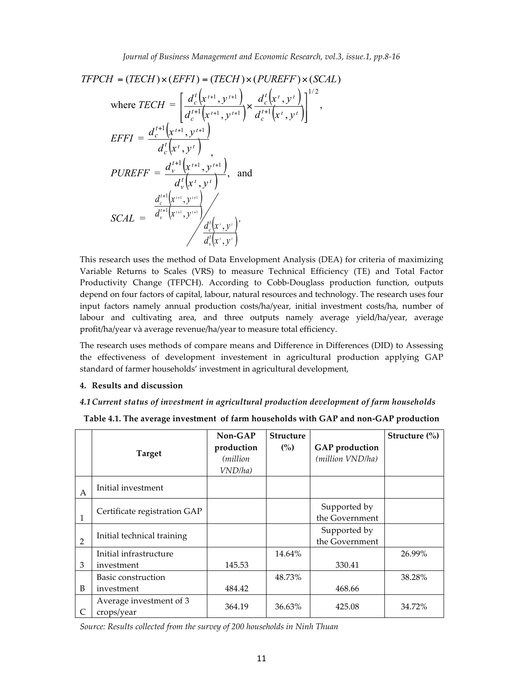$$
TFPCH = (TECH) \times (EFFI) = (TECH) \times (PUREFF) \times (SCAL)
$$
\n
$$
\text{where } TECH = \left[ \frac{d_c^t \left( x^{t+1}, y^{t+1} \right)}{d_c^{t+1} \left( x^{t+1}, y^{t+1} \right)} \times \frac{d_c^t \left( x^t, y^t \right)}{d_c^{t+1} \left( x^t, y^t \right)} \right]^{1/2},
$$
\n
$$
EFFI = \frac{d_c^{t+1} \left( x^{t+1}, y^{t+1} \right)}{d_c^t \left( x^t, y^t \right)},
$$
\n
$$
PUREFF = \frac{d_v^{t+1} \left( x^{t+1}, y^{t+1} \right)}{d_v^t \left( x^t, y^t \right)},
$$
\nand\n
$$
\frac{d_c^{t+1} \left( x^{t+1}, y^{t+1} \right)}{d_v^t \left( x^t, y^t \right)} \times \frac{d_c^t \left( x^t, y^t \right)}{d_v^t \left( x^t, y^t \right)}.
$$

This research uses the method of Data Envelopment Analysis (DEA) for criteria of maximizing Variable Returns to Scales (VRS) to measure Technical Efficiency (TE) and Total Factor Productivity Change (TFPCH). According to Cobb-Douglass production function, outputs depend on four factors of capital, labour, natural resources and technology. The research uses four input factors namely annual production costs/ha/year, initial investment costs/ha, number of labour and cultivating area, and three outputs namely average yield/ha/year, average profit/ha/year và average revenue/ha/year to measure total efficiency.

The research uses methods of compare means and Difference in Differences (DID) to Assessing the effectiveness of development investement in agricultural production applying GAP standard of farmer households' investment in agricultural development,

#### **4. Results and discussion**

#### *4.1Current status of investment in agricultural production development of farm households*

|                | <b>Target</b>                         | $Non-GAP$<br>production<br><i>(million)</i><br>VND/ha) | <b>Structure</b><br>(%) | <b>GAP</b> production<br>(million VND/ha) | Structure $\frac{0}{0}$ |
|----------------|---------------------------------------|--------------------------------------------------------|-------------------------|-------------------------------------------|-------------------------|
| A              | Initial investment                    |                                                        |                         |                                           |                         |
|                | Certificate registration GAP          |                                                        |                         | Supported by<br>the Government            |                         |
| $\overline{2}$ | Initial technical training            |                                                        |                         | Supported by<br>the Government            |                         |
|                | Initial infrastructure                |                                                        | 14.64%                  |                                           | 26.99%                  |
| 3              | investment                            | 145.53                                                 |                         | 330.41                                    |                         |
|                | Basic construction                    |                                                        | 48.73%                  |                                           | 38.28%                  |
| B              | investment                            | 484.42                                                 |                         | 468.66                                    |                         |
|                | Average investment of 3<br>crops/year | 364.19                                                 | 36.63%                  | 425.08                                    | 34.72%                  |

**Table 4.1. The average investment of farm households with GAP and non-GAP production**

*Source: Results collected from the survey of 200 households in Ninh Thuan*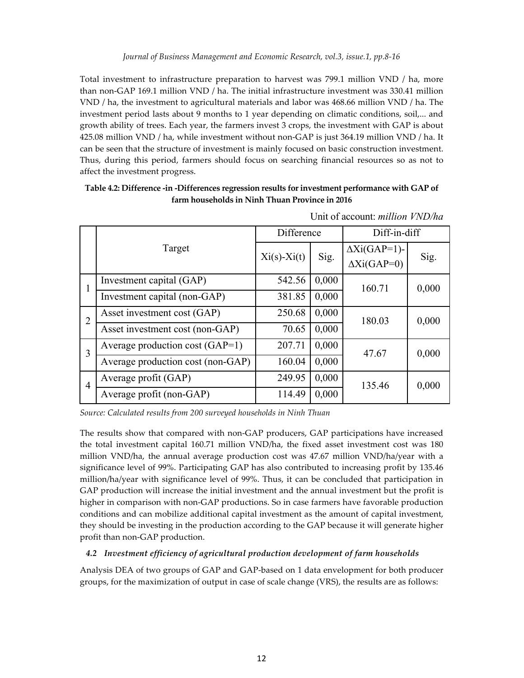Total investment to infrastructure preparation to harvest was 799.1 million VND / ha, more than non-GAP 169.1 million VND / ha. The initial infrastructure investment was 330.41 million VND / ha, the investment to agricultural materials and labor was 468.66 million VND / ha. The investment period lasts about 9 months to 1 year depending on climatic conditions, soil,... and growth ability of trees. Each year, the farmers invest 3 crops, the investment with GAP is about 425.08 million VND / ha, while investment without non-GAP is just 364.19 million VND / ha. It can be seen that the structure of investment is mainly focused on basic construction investment. Thus, during this period, farmers should focus on searching financial resources so as not to affect the investment progress.

**Table 4.2: Difference -in -Differences regression results for investment performance with GAP of farm households in Ninh Thuan Province in 2016**

|                |                                   | Difference        |       | Diff-in-diff        |       |  |
|----------------|-----------------------------------|-------------------|-------|---------------------|-------|--|
|                | Target                            | $Xi(s)$ - $Xi(t)$ | Sig.  | $\Delta$ Xi(GAP=1)- | Sig.  |  |
|                |                                   |                   |       | $\Delta$ Xi(GAP=0)  |       |  |
|                | Investment capital (GAP)          | 542.56            | 0,000 | 160.71              | 0,000 |  |
|                | Investment capital (non-GAP)      | 381.85            | 0,000 |                     |       |  |
| 2              | Asset investment cost (GAP)       | 250.68            | 0,000 | 180.03              | 0,000 |  |
|                | Asset investment cost (non-GAP)   | 70.65             | 0,000 |                     |       |  |
| 3              | Average production cost $(GAP=1)$ | 207.71            | 0,000 | 47.67               | 0,000 |  |
|                | Average production cost (non-GAP) | 160.04            | 0,000 |                     |       |  |
| $\overline{4}$ | Average profit (GAP)              | 249.95            | 0,000 | 135.46              | 0,000 |  |
|                | Average profit (non-GAP)          | 114.49            | 0,000 |                     |       |  |

Unit of account: *million VND/ha*

*Source: Calculated results from 200 surveyed households in Ninh Thuan*

The results show that compared with non-GAP producers, GAP participations have increased the total investment capital 160.71 million VND/ha, the fixed asset investment cost was 180 million VND/ha, the annual average production cost was 47.67 million VND/ha/year with a significance level of 99%. Participating GAP has also contributed to increasing profit by 135.46 million/ha/year with significance level of 99%. Thus, it can be concluded that participation in GAP production will increase the initial investment and the annual investment but the profit is higher in comparison with non-GAP productions. So in case farmers have favorable production conditions and can mobilize additional capital investment as the amount of capital investment, they should be investing in the production according to the GAP because it will generate higher profit than non-GAP production.

## *4.2 Investment efficiency of agricultural production development of farm households*

Analysis DEA of two groups of GAP and GAP-based on 1 data envelopment for both producer groups, for the maximization of output in case of scale change (VRS), the results are as follows: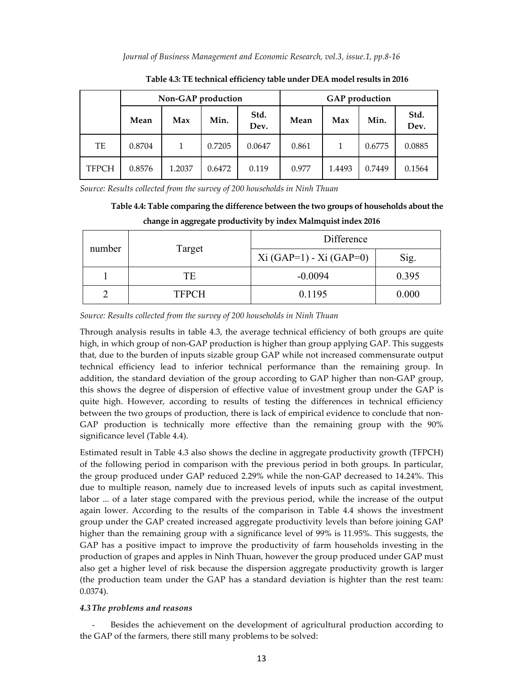|              |        | Non-GAP production |                      |        | <b>GAP</b> production |        |        |              |  |  |
|--------------|--------|--------------------|----------------------|--------|-----------------------|--------|--------|--------------|--|--|
|              | Mean   | Max                | Std.<br>Min.<br>Dev. |        | Mean                  | Max    | Min.   | Std.<br>Dev. |  |  |
| TE           | 0.8704 |                    | 0.7205               | 0.0647 | 0.861                 |        | 0.6775 | 0.0885       |  |  |
| <b>TFPCH</b> | 0.8576 | 1.2037             | 0.6472               | 0.119  | 0.977                 | 1.4493 | 0.7449 | 0.1564       |  |  |

**Table 4.3: TE technical efficiency table under DEA model results in 2016**

*Source: Results collected from the survey of 200 households in Ninh Thuan*

|  |  |  |  |  |  |  | Table 4.4: Table comparing the difference between the two groups of households about the |
|--|--|--|--|--|--|--|------------------------------------------------------------------------------------------|
|  |  |  |  |  |  |  |                                                                                          |

|        |              | Difference             |       |  |  |  |  |  |
|--------|--------------|------------------------|-------|--|--|--|--|--|
| number | Target       | $Xi(GAP=1) -Xi(GAP=0)$ | Sig.  |  |  |  |  |  |
|        | TЕ           | $-0.0094$              | 0.395 |  |  |  |  |  |
|        | <b>TFPCH</b> | 0.1195                 | 0.000 |  |  |  |  |  |

#### **change in aggregate productivity by index Malmquist index 2016**

*Source: Results collected from the survey of 200 households in Ninh Thuan*

Through analysis results in table 4.3, the average technical efficiency of both groups are quite high, in which group of non-GAP production is higher than group applying GAP. This suggests that, due to the burden of inputs sizable group GAP while not increased commensurate output technical efficiency lead to inferior technical performance than the remaining group. In addition, the standard deviation of the group according to GAP higher than non-GAP group, this shows the degree of dispersion of effective value of investment group under the GAP is quite high. However, according to results of testing the differences in technical efficiency between the two groups of production, there is lack of empirical evidence to conclude that non-GAP production is technically more effective than the remaining group with the 90% significance level (Table 4.4).

Estimated result in Table 4.3 also shows the decline in aggregate productivity growth (TFPCH) of the following period in comparison with the previous period in both groups. In particular, the group produced under GAP reduced 2.29% while the non-GAP decreased to 14.24%. This due to multiple reason, namely due to increased levels of inputs such as capital investment, labor ... of a later stage compared with the previous period, while the increase of the output again lower. According to the results of the comparison in Table 4.4 shows the investment group under the GAP created increased aggregate productivity levels than before joining GAP higher than the remaining group with a significance level of 99% is 11.95%. This suggests, the GAP has a positive impact to improve the productivity of farm households investing in the production of grapes and apples in Ninh Thuan, however the group produced under GAP must also get a higher level of risk because the dispersion aggregate productivity growth is larger (the production team under the GAP has a standard deviation is highter than the rest team: 0.0374).

### *4.3 The problems and reasons*

- Besides the achievement on the development of agricultural production according to the GAP of the farmers, there still many problems to be solved: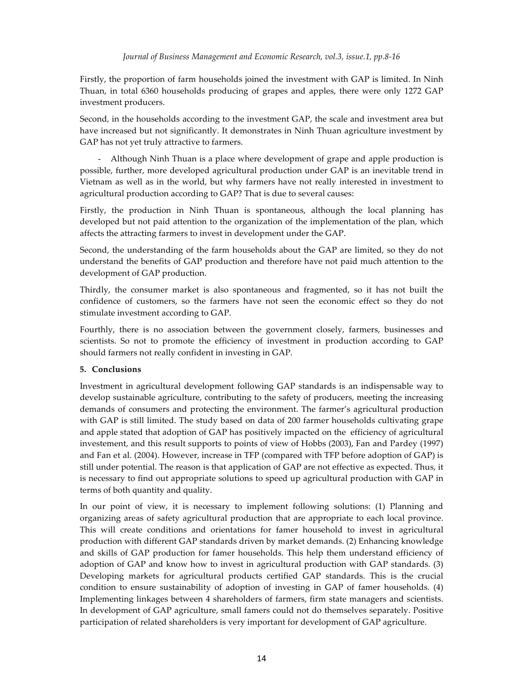Firstly, the proportion of farm households joined the investment with GAP is limited. In Ninh Thuan, in total 6360 households producing of grapes and apples, there were only 1272 GAP investment producers.

Second, in the households according to the investment GAP, the scale and investment area but have increased but not significantly. It demonstrates in Ninh Thuan agriculture investment by GAP has not yet truly attractive to farmers.

- Although Ninh Thuan is a place where development of grape and apple production is possible, further, more developed agricultural production under GAP is an inevitable trend in Vietnam as well as in the world, but why farmers have not really interested in investment to agricultural production according to GAP? That is due to several causes:

Firstly, the production in Ninh Thuan is spontaneous, although the local planning has developed but not paid attention to the organization of the implementation of the plan, which affects the attracting farmers to invest in development under the GAP.

Second, the understanding of the farm households about the GAP are limited, so they do not understand the benefits of GAP production and therefore have not paid much attention to the development of GAP production.

Thirdly, the consumer market is also spontaneous and fragmented, so it has not built the confidence of customers, so the farmers have not seen the economic effect so they do not stimulate investment according to GAP.

Fourthly, there is no association between the government closely, farmers, businesses and scientists. So not to promote the efficiency of investment in production according to GAP should farmers not really confident in investing in GAP.

## **5. Conclusions**

Investment in agricultural development following GAP standards is an indispensable way to develop sustainable agriculture, contributing to the safety of producers, meeting the increasing demands of consumers and protecting the environment. The farmer's agricultural production with GAP is still limited. The study based on data of 200 farmer households cultivating grape and apple stated that adoption of GAP has positively impacted on the efficiency of agricultural investement, and this result supports to points of view of Hobbs (2003), Fan and Pardey (1997) and Fan et al. (2004). However, increase in TFP (compared with TFP before adoption of GAP) is still under potential. The reason is that application of GAP are not effective as expected. Thus, it is necessary to find out appropriate solutions to speed up agricultural production with GAP in terms of both quantity and quality.

In our point of view, it is necessary to implement following solutions: (1) Planning and organizing areas of safety agricultural production that are appropriate to each local province. This will create conditions and orientations for famer household to invest in agricultural production with different GAP standards driven by market demands. (2) Enhancing knowledge and skills of GAP production for famer households. This help them understand efficiency of adoption of GAP and know how to invest in agricultural production with GAP standards. (3) Developing markets for agricultural products certified GAP standards. This is the crucial condition to ensure sustainability of adoption of investing in GAP of famer households. (4) Implementing linkages between 4 shareholders of farmers, firm state managers and scientists. In development of GAP agriculture, small famers could not do themselves separately. Positive participation of related shareholders is very important for development of GAP agriculture.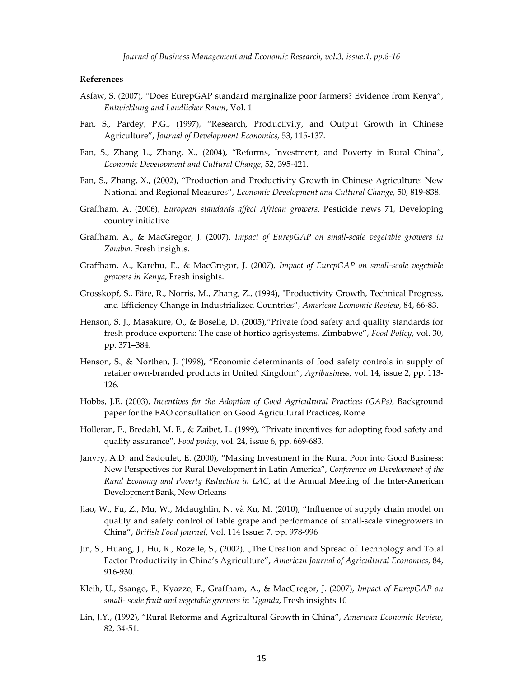*Journal of Business Management and Economic Research, vol.3, issue.1, pp.8-16*

### **References**

- Asfaw, S. (2007), "Does EurepGAP standard marginalize poor farmers? Evidence from Kenya", *Entwicklung and Landlicher Raum*, Vol. 1
- Fan, S., Pardey, P.G., (1997), "Research, Productivity, and Output Growth in Chinese Agriculture", *Journal of Development Economics,* 53, 115-137.
- Fan, S., Zhang L., Zhang, X., (2004), "Reforms, Investment, and Poverty in Rural China", *Economic Development and Cultural Change,* 52, 395-421.
- Fan, S., Zhang, X., (2002), "Production and Productivity Growth in Chinese Agriculture: New National and Regional Measures", *Economic Development and Cultural Change,* 50, 819-838.
- Graffham, A. (2006), *European standards affect African growers.* Pesticide news 71, Developing country initiative
- Graffham, A., & MacGregor, J. (2007). *Impact of EurepGAP on small-scale vegetable growers in Zambia*. Fresh insights.
- Graffham, A., Karehu, E., & MacGregor, J. (2007), *Impact of EurepGAP on small-scale vegetable growers in Kenya*, Fresh insights.
- Grosskopf, S., Färe, R., Norris, M., Zhang, Z., (1994), "Productivity Growth, Technical Progress, and Efficiency Change in Industrialized Countries", *American Economic Review,* 84, 66-83.
- Henson, S. J., Masakure, O., & Boselie, D. (2005),"Private food safety and quality standards for fresh produce exporters: The case of hortico agrisystems, Zimbabwe", *Food Policy*, vol. 30, pp. 371–384.
- Henson, S., & Northen, J. (1998), "Economic determinants of food safety controls in supply of retailer own-branded products in United Kingdom", *Agribusiness,* vol. 14, issue 2, pp. 113- 126.
- Hobbs, J.E. (2003), *Incentives for the Adoption of Good Agricultural Practices (GAPs)*, Background paper for the FAO consultation on Good Agricultural Practices, Rome
- Holleran, E., Bredahl, M. E., & Zaibet, L. (1999), "Private incentives for adopting food safety and quality assurance", *Food policy*, vol. 24, issue 6, pp. 669-683.
- Janvry, A.D. and Sadoulet, E. (2000), "Making Investment in the Rural Poor into Good Business: New Perspectives for Rural Development in Latin America", *Conference on Development of the Rural Economy and Poverty Reduction in LAC*, at the Annual Meeting of the Inter-American Development Bank, New Orleans
- Jiao, W., Fu, Z., Mu, W., Mclaughlin, N. và Xu, M. (2010), "Influence of supply chain model on quality and safety control of table grape and performance of small-scale vinegrowers in China", *British Food Journal*, Vol. 114 Issue: 7, pp. 978-996
- Jin, S., Huang, J., Hu, R., Rozelle, S., (2002), "The Creation and Spread of Technology and Total Factor Productivity in China's Agriculture", *American Journal of Agricultural Economics,* 84, 916-930.
- Kleih, U., Ssango, F., Kyazze, F., Graffham, A., & MacGregor, J. (2007), *Impact of EurepGAP on small- scale fruit and vegetable growers in Uganda*, Fresh insights 10
- Lin, J.Y., (1992), "Rural Reforms and Agricultural Growth in China", *American Economic Review,* 82, 34-51.